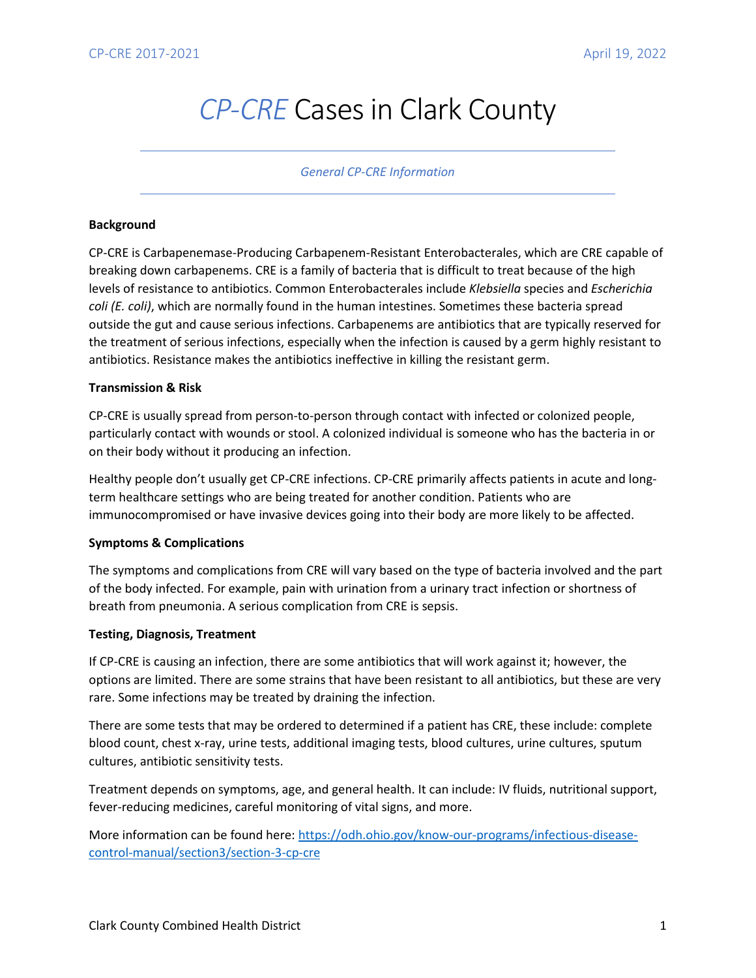# *CP-CRE* Cases in Clark County

### *General CP-CRE Information*

### **Background**

CP-CRE is Carbapenemase-Producing Carbapenem-Resistant Enterobacterales, which are CRE capable of breaking down carbapenems. CRE is a family of bacteria that is difficult to treat because of the high levels of resistance to antibiotics. Common Enterobacterales include *Klebsiella* species and *Escherichia coli (E. coli)*, which are normally found in the human intestines. Sometimes these bacteria spread outside the gut and cause serious infections. Carbapenems are antibiotics that are typically reserved for the treatment of serious infections, especially when the infection is caused by a germ highly resistant to antibiotics. Resistance makes the antibiotics ineffective in killing the resistant germ.

### **Transmission & Risk**

CP-CRE is usually spread from person-to-person through contact with infected or colonized people, particularly contact with wounds or stool. A colonized individual is someone who has the bacteria in or on their body without it producing an infection.

Healthy people don't usually get CP-CRE infections. CP-CRE primarily affects patients in acute and longterm healthcare settings who are being treated for another condition. Patients who are immunocompromised or have invasive devices going into their body are more likely to be affected.

#### **Symptoms & Complications**

The symptoms and complications from CRE will vary based on the type of bacteria involved and the part of the body infected. For example, pain with urination from a urinary tract infection or shortness of breath from pneumonia. A serious complication from CRE is sepsis.

## **Testing, Diagnosis, Treatment**

If CP-CRE is causing an infection, there are some antibiotics that will work against it; however, the options are limited. There are some strains that have been resistant to all antibiotics, but these are very rare. Some infections may be treated by draining the infection.

There are some tests that may be ordered to determined if a patient has CRE, these include: complete blood count, chest x-ray, urine tests, additional imaging tests, blood cultures, urine cultures, sputum cultures, antibiotic sensitivity tests.

Treatment depends on symptoms, age, and general health. It can include: IV fluids, nutritional support, fever-reducing medicines, careful monitoring of vital signs, and more.

More information can be found here[: https://odh.ohio.gov/know-our-programs/infectious-disease](https://odh.ohio.gov/know-our-programs/infectious-disease-control-manual/section3/section-3-cp-cre)[control-manual/section3/section-3-cp-cre](https://odh.ohio.gov/know-our-programs/infectious-disease-control-manual/section3/section-3-cp-cre)